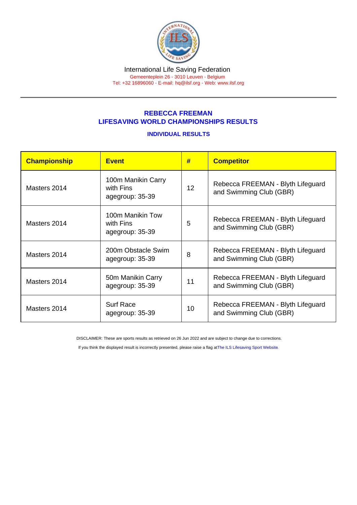## REBECCA FREEMAN LIFESAVING WORLD CHAMPIONSHIPS RESULTS

## INDIVIDUAL RESULTS

| Championship | <b>Event</b>                                       | #  | <b>Competitor</b>                                            |
|--------------|----------------------------------------------------|----|--------------------------------------------------------------|
| Masters 2014 | 100m Manikin Carry<br>with Fins<br>agegroup: 35-39 | 12 | Rebecca FREEMAN - Blyth Lifeguard<br>and Swimming Club (GBR) |
| Masters 2014 | 100m Manikin Tow<br>with Fins<br>agegroup: 35-39   | 5  | Rebecca FREEMAN - Blyth Lifeguard<br>and Swimming Club (GBR) |
| Masters 2014 | 200m Obstacle Swim<br>agegroup: 35-39              | 8  | Rebecca FREEMAN - Blyth Lifeguard<br>and Swimming Club (GBR) |
| Masters 2014 | 50m Manikin Carry<br>agegroup: 35-39               | 11 | Rebecca FREEMAN - Blyth Lifeguard<br>and Swimming Club (GBR) |
| Masters 2014 | <b>Surf Race</b><br>agegroup: 35-39                | 10 | Rebecca FREEMAN - Blyth Lifeguard<br>and Swimming Club (GBR) |

DISCLAIMER: These are sports results as retrieved on 26 Jun 2022 and are subject to change due to corrections.

If you think the displayed result is incorrectly presented, please raise a flag at [The ILS Lifesaving Sport Website.](https://sport.ilsf.org)